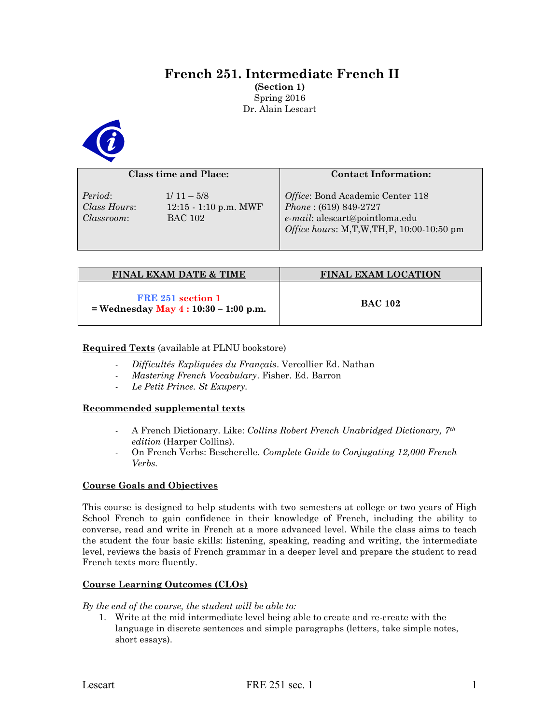# **French 251. Intermediate French II**

**(Section 1)** Spring 2016 Dr. Alain Lescart



| <b>Class time and Place:</b>          |                                                           | <b>Contact Information:</b>                                                                                                               |  |
|---------------------------------------|-----------------------------------------------------------|-------------------------------------------------------------------------------------------------------------------------------------------|--|
| Period:<br>Class Hours:<br>Classroom: | $1/11 - 5/8$<br>$12:15 - 1:10$ p.m. MWF<br><b>BAC 102</b> | Office: Bond Academic Center 118<br>$Phone: (619) 849-2727$<br>e-mail: alescart@pointloma.edu<br>Office hours: M,T,W,TH,F, 10:00-10:50 pm |  |

| <b>FINAL EXAM DATE &amp; TIME</b>                            | <b>FINAL EXAM LOCATION</b> |
|--------------------------------------------------------------|----------------------------|
| FRE 251 section 1<br>$=$ Wednesday May 4 : 10:30 – 1:00 p.m. | <b>BAC 102</b>             |

## **Required Texts** (available at PLNU bookstore)

- *Difficultés Expliquées du Français*. Vercollier Ed. Nathan
- *Mastering French Vocabulary*. Fisher. Ed. Barron
- *Le Petit Prince. St Exupery.*

#### **Recommended supplemental texts**

- A French Dictionary. Like: *Collins Robert French Unabridged Dictionary, 7th edition* (Harper Collins).
- On French Verbs: Bescherelle. *Complete Guide to Conjugating 12,000 French Verbs.*

#### **Course Goals and Objectives**

This course is designed to help students with two semesters at college or two years of High School French to gain confidence in their knowledge of French, including the ability to converse, read and write in French at a more advanced level. While the class aims to teach the student the four basic skills: listening, speaking, reading and writing, the intermediate level, reviews the basis of French grammar in a deeper level and prepare the student to read French texts more fluently.

#### **Course Learning Outcomes (CLOs)**

*By the end of the course, the student will be able to:*

1. Write at the mid intermediate level being able to create and re-create with the language in discrete sentences and simple paragraphs (letters, take simple notes, short essays).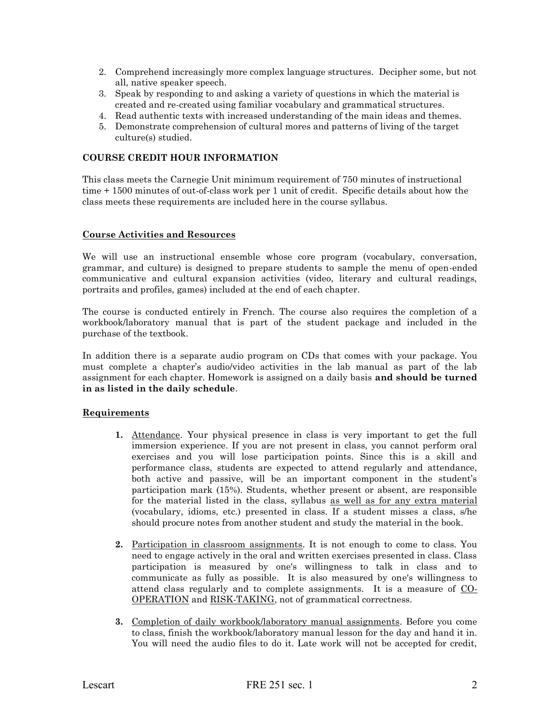- 2. Comprehend increasingly more complex language structures. Decipher some, but not all, native speaker speech.
- 3. Speak by responding to and asking a variety of questions in which the material is created and re-created using familiar vocabulary and grammatical structures.
- 4. Read authentic texts with increased understanding of the main ideas and themes.
- 5. Demonstrate comprehension of cultural mores and patterns of living of the target culture(s) studied.

#### **COURSE CREDIT HOUR INFORMATION**

This class meets the Carnegie Unit minimum requirement of 750 minutes of instructional time + 1500 minutes of out-of-class work per 1 unit of credit. Specific details about how the class meets these requirements are included here in the course syllabus.

#### **Course Activities and Resources**

We will use an instructional ensemble whose core program (vocabulary, conversation, grammar, and culture) is designed to prepare students to sample the menu of open-ended communicative and cultural expansion activities (video, literary and cultural readings, portraits and profiles, games) included at the end of each chapter.

The course is conducted entirely in French. The course also requires the completion of a workbook/laboratory manual that is part of the student package and included in the purchase of the textbook.

In addition there is a separate audio program on CDs that comes with your package. You must complete a chapter's audio/video activities in the lab manual as part of the lab assignment for each chapter. Homework is assigned on a daily basis **and should be turned in as listed in the daily schedule**.

#### **Requirements**

- **1.** Attendance. Your physical presence in class is very important to get the full immersion experience. If you are not present in class, you cannot perform oral exercises and you will lose participation points. Since this is a skill and performance class, students are expected to attend regularly and attendance, both active and passive, will be an important component in the student's participation mark (15%). Students, whether present or absent, are responsible for the material listed in the class, syllabus as well as for any extra material (vocabulary, idioms, etc.) presented in class. If a student misses a class, s/he should procure notes from another student and study the material in the book.
- **2.** Participation in classroom assignments. It is not enough to come to class. You need to engage actively in the oral and written exercises presented in class. Class participation is measured by one's willingness to talk in class and to communicate as fully as possible. It is also measured by one's willingness to attend class regularly and to complete assignments. It is a measure of CO-OPERATION and RISK-TAKING, not of grammatical correctness.
- **3.** Completion of daily workbook/laboratory manual assignments. Before you come to class, finish the workbook/laboratory manual lesson for the day and hand it in. You will need the audio files to do it. Late work will not be accepted for credit,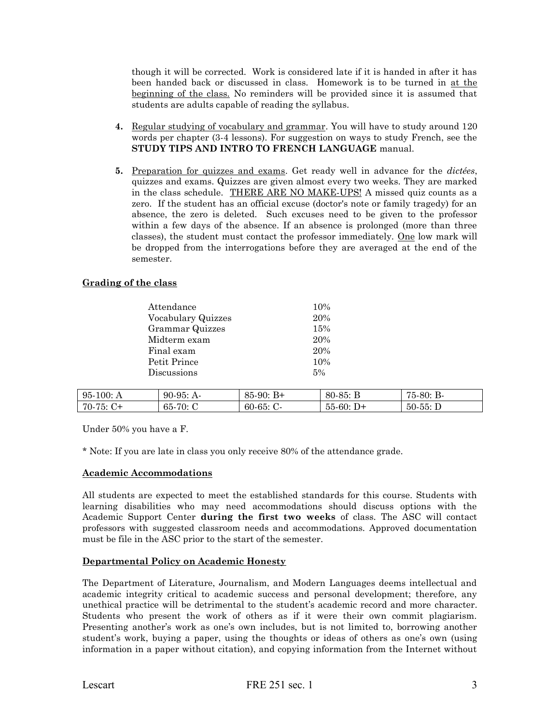though it will be corrected. Work is considered late if it is handed in after it has been handed back or discussed in class. Homework is to be turned in at the beginning of the class. No reminders will be provided since it is assumed that students are adults capable of reading the syllabus.

- **4.** Regular studying of vocabulary and grammar. You will have to study around 120 words per chapter (3-4 lessons). For suggestion on ways to study French, see the **STUDY TIPS AND INTRO TO FRENCH LANGUAGE** manual.
- **5.** Preparation for quizzes and exams. Get ready well in advance for the *dictées*, quizzes and exams. Quizzes are given almost every two weeks. They are marked in the class schedule. THERE ARE NO MAKE-UPS! A missed quiz counts as a zero. If the student has an official excuse (doctor's note or family tragedy) for an absence, the zero is deleted. Such excuses need to be given to the professor within a few days of the absence. If an absence is prolonged (more than three classes), the student must contact the professor immediately. One low mark will be dropped from the interrogations before they are averaged at the end of the semester.

## **Grading of the class**

| Attendance         | 10% |
|--------------------|-----|
| Vocabulary Quizzes | 20% |
| Grammar Quizzes    | 15% |
| Midterm exam       | 20% |
| Final exam         | 20% |
| Petit Prince       | 10% |
| Discussions        | 5%  |
|                    |     |

| 95-10<br>100:<br>А | $90-95$ :<br>$A-$              | 85-90:<br>ĸ+        | $80-85: B$  | B-<br>75-80: |
|--------------------|--------------------------------|---------------------|-------------|--------------|
| $70-$<br>75:       | 65-<br>$\overline{70}$ .<br>v. | $60 - 65$ :<br>. v- | $55-60: D+$ | $50-55: D$   |

Under 50% you have a F.

\* Note: If you are late in class you only receive 80% of the attendance grade.

## **Academic Accommodations**

All students are expected to meet the established standards for this course. Students with learning disabilities who may need accommodations should discuss options with the Academic Support Center **during the first two weeks** of class. The ASC will contact professors with suggested classroom needs and accommodations. Approved documentation must be file in the ASC prior to the start of the semester.

## **Departmental Policy on Academic Honesty**

The Department of Literature, Journalism, and Modern Languages deems intellectual and academic integrity critical to academic success and personal development; therefore, any unethical practice will be detrimental to the student's academic record and more character. Students who present the work of others as if it were their own commit plagiarism. Presenting another's work as one's own includes, but is not limited to, borrowing another student's work, buying a paper, using the thoughts or ideas of others as one's own (using information in a paper without citation), and copying information from the Internet without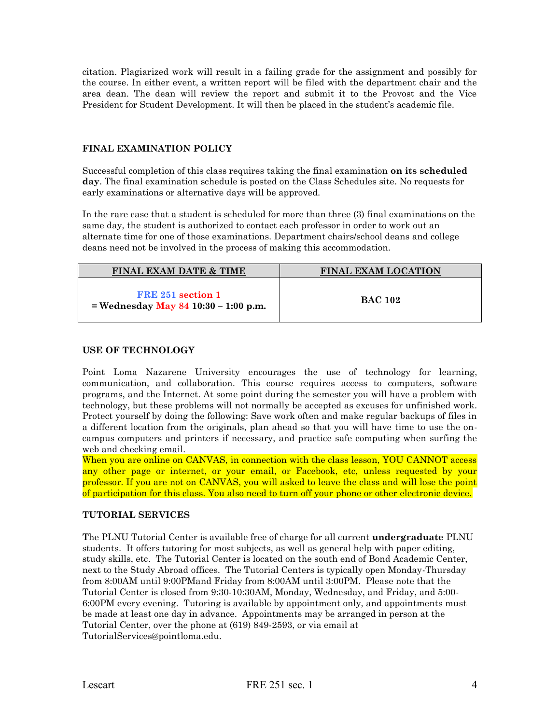citation. Plagiarized work will result in a failing grade for the assignment and possibly for the course. In either event, a written report will be filed with the department chair and the area dean. The dean will review the report and submit it to the Provost and the Vice President for Student Development. It will then be placed in the student's academic file.

## **FINAL EXAMINATION POLICY**

Successful completion of this class requires taking the final examination **on its scheduled day**. The final examination schedule is posted on the Class Schedules site. No requests for early examinations or alternative days will be approved.

In the rare case that a student is scheduled for more than three (3) final examinations on the same day, the student is authorized to contact each professor in order to work out an alternate time for one of those examinations. Department chairs/school deans and college deans need not be involved in the process of making this accommodation.

| <b>FINAL EXAM DATE &amp; TIME</b>                         | <b>FINAL EXAM LOCATION</b> |
|-----------------------------------------------------------|----------------------------|
| FRE 251 section 1<br>= Wednesday May 84 10:30 – 1:00 p.m. | <b>BAC 102</b>             |

## **USE OF TECHNOLOGY**

Point Loma Nazarene University encourages the use of technology for learning, communication, and collaboration. This course requires access to computers, software programs, and the Internet. At some point during the semester you will have a problem with technology, but these problems will not normally be accepted as excuses for unfinished work. Protect yourself by doing the following: Save work often and make regular backups of files in a different location from the originals, plan ahead so that you will have time to use the oncampus computers and printers if necessary, and practice safe computing when surfing the web and checking email.

When you are online on CANVAS, in connection with the class lesson, YOU CANNOT access any other page or internet, or your email, or Facebook, etc, unless requested by your professor. If you are not on CANVAS, you will asked to leave the class and will lose the point of participation for this class. You also need to turn off your phone or other electronic device.

## **TUTORIAL SERVICES**

**T**he PLNU Tutorial Center is available free of charge for all current **undergraduate** PLNU students. It offers tutoring for most subjects, as well as general help with paper editing, study skills, etc. The Tutorial Center is located on the south end of Bond Academic Center, next to the Study Abroad offices. The Tutorial Centers is typically open Monday-Thursday from 8:00AM until 9:00PMand Friday from 8:00AM until 3:00PM. Please note that the Tutorial Center is closed from 9:30-10:30AM, Monday, Wednesday, and Friday, and 5:00- 6:00PM every evening. Tutoring is available by appointment only, and appointments must be made at least one day in advance. Appointments may be arranged in person at the Tutorial Center, over the phone at (619) 849-2593, or via email at TutorialServices@pointloma.edu.